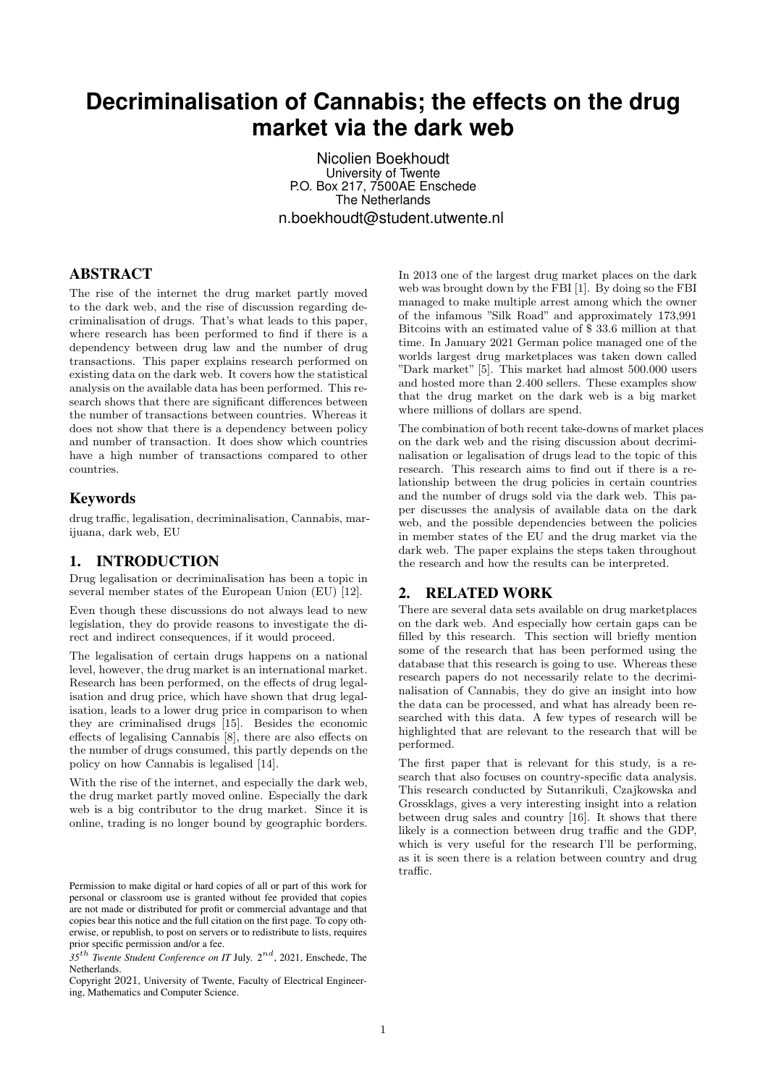# **Decriminalisation of Cannabis; the effects on the drug market via the dark web**

Nicolien Boekhoudt University of Twente P.O. Box 217, 7500AE Enschede The Netherlands n.boekhoudt@student.utwente.nl

## ABSTRACT

The rise of the internet the drug market partly moved to the dark web, and the rise of discussion regarding decriminalisation of drugs. That's what leads to this paper, where research has been performed to find if there is a dependency between drug law and the number of drug transactions. This paper explains research performed on existing data on the dark web. It covers how the statistical analysis on the available data has been performed. This research shows that there are significant differences between the number of transactions between countries. Whereas it does not show that there is a dependency between policy and number of transaction. It does show which countries have a high number of transactions compared to other countries.

### Keywords

drug traffic, legalisation, decriminalisation, Cannabis, marijuana, dark web, EU

# 1. INTRODUCTION

Drug legalisation or decriminalisation has been a topic in several member states of the European Union (EU) [12].

Even though these discussions do not always lead to new legislation, they do provide reasons to investigate the direct and indirect consequences, if it would proceed.

The legalisation of certain drugs happens on a national level, however, the drug market is an international market. Research has been performed, on the effects of drug legalisation and drug price, which have shown that drug legalisation, leads to a lower drug price in comparison to when they are criminalised drugs [15]. Besides the economic effects of legalising Cannabis [8], there are also effects on the number of drugs consumed, this partly depends on the policy on how Cannabis is legalised [14].

With the rise of the internet, and especially the dark web, the drug market partly moved online. Especially the dark web is a big contributor to the drug market. Since it is online, trading is no longer bound by geographic borders.

Copyright 2021, University of Twente, Faculty of Electrical Engineering, Mathematics and Computer Science.

In 2013 one of the largest drug market places on the dark web was brought down by the FBI [1]. By doing so the FBI managed to make multiple arrest among which the owner of the infamous "Silk Road" and approximately 173,991 Bitcoins with an estimated value of \$ 33.6 million at that time. In January 2021 German police managed one of the worlds largest drug marketplaces was taken down called "Dark market" [5]. This market had almost 500.000 users and hosted more than 2.400 sellers. These examples show that the drug market on the dark web is a big market where millions of dollars are spend.

The combination of both recent take-downs of market places on the dark web and the rising discussion about decriminalisation or legalisation of drugs lead to the topic of this research. This research aims to find out if there is a relationship between the drug policies in certain countries and the number of drugs sold via the dark web. This paper discusses the analysis of available data on the dark web, and the possible dependencies between the policies in member states of the EU and the drug market via the dark web. The paper explains the steps taken throughout the research and how the results can be interpreted.

### 2. RELATED WORK

There are several data sets available on drug marketplaces on the dark web. And especially how certain gaps can be filled by this research. This section will briefly mention some of the research that has been performed using the database that this research is going to use. Whereas these research papers do not necessarily relate to the decriminalisation of Cannabis, they do give an insight into how the data can be processed, and what has already been researched with this data. A few types of research will be highlighted that are relevant to the research that will be performed.

The first paper that is relevant for this study, is a research that also focuses on country-specific data analysis. This research conducted by Sutanrikuli, Czajkowska and Grossklags, gives a very interesting insight into a relation between drug sales and country [16]. It shows that there likely is a connection between drug traffic and the GDP, which is very useful for the research I'll be performing, as it is seen there is a relation between country and drug traffic.

Permission to make digital or hard copies of all or part of this work for personal or classroom use is granted without fee provided that copies are not made or distributed for profit or commercial advantage and that copies bear this notice and the full citation on the first page. To copy otherwise, or republish, to post on servers or to redistribute to lists, requires prior specific permission and/or a fee.

*<sup>35</sup>*th *Twente Student Conference on IT* July. 2nd, 2021, Enschede, The Netherlands.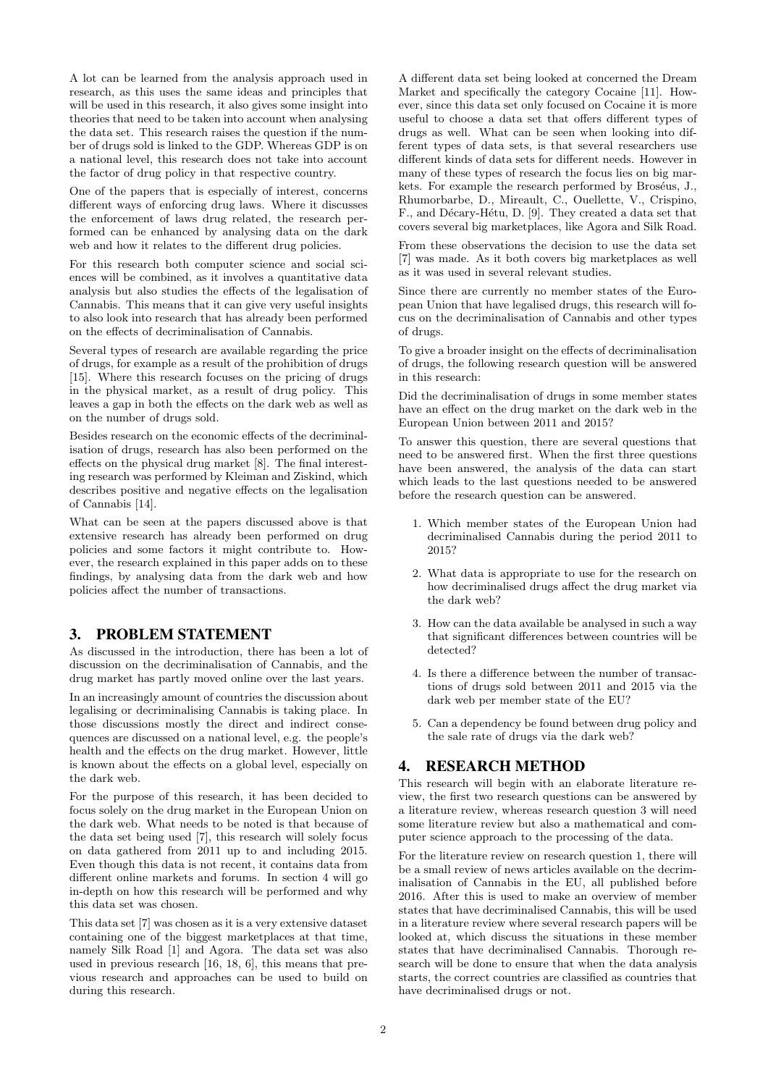A lot can be learned from the analysis approach used in research, as this uses the same ideas and principles that will be used in this research, it also gives some insight into theories that need to be taken into account when analysing the data set. This research raises the question if the number of drugs sold is linked to the GDP. Whereas GDP is on a national level, this research does not take into account the factor of drug policy in that respective country.

One of the papers that is especially of interest, concerns different ways of enforcing drug laws. Where it discusses the enforcement of laws drug related, the research performed can be enhanced by analysing data on the dark web and how it relates to the different drug policies.

For this research both computer science and social sciences will be combined, as it involves a quantitative data analysis but also studies the effects of the legalisation of Cannabis. This means that it can give very useful insights to also look into research that has already been performed on the effects of decriminalisation of Cannabis.

Several types of research are available regarding the price of drugs, for example as a result of the prohibition of drugs [15]. Where this research focuses on the pricing of drugs in the physical market, as a result of drug policy. This leaves a gap in both the effects on the dark web as well as on the number of drugs sold.

Besides research on the economic effects of the decriminalisation of drugs, research has also been performed on the effects on the physical drug market [8]. The final interesting research was performed by Kleiman and Ziskind, which describes positive and negative effects on the legalisation of Cannabis [14].

What can be seen at the papers discussed above is that extensive research has already been performed on drug policies and some factors it might contribute to. However, the research explained in this paper adds on to these findings, by analysing data from the dark web and how policies affect the number of transactions.

### 3. PROBLEM STATEMENT

As discussed in the introduction, there has been a lot of discussion on the decriminalisation of Cannabis, and the drug market has partly moved online over the last years.

In an increasingly amount of countries the discussion about legalising or decriminalising Cannabis is taking place. In those discussions mostly the direct and indirect consequences are discussed on a national level, e.g. the people's health and the effects on the drug market. However, little is known about the effects on a global level, especially on the dark web.

For the purpose of this research, it has been decided to focus solely on the drug market in the European Union on the dark web. What needs to be noted is that because of the data set being used [7], this research will solely focus on data gathered from 2011 up to and including 2015. Even though this data is not recent, it contains data from different online markets and forums. In section 4 will go in-depth on how this research will be performed and why this data set was chosen.

This data set [7] was chosen as it is a very extensive dataset containing one of the biggest marketplaces at that time, namely Silk Road [1] and Agora. The data set was also used in previous research [16, 18, 6], this means that previous research and approaches can be used to build on during this research.

A different data set being looked at concerned the Dream Market and specifically the category Cocaine [11]. However, since this data set only focused on Cocaine it is more useful to choose a data set that offers different types of drugs as well. What can be seen when looking into different types of data sets, is that several researchers use different kinds of data sets for different needs. However in many of these types of research the focus lies on big markets. For example the research performed by Broséus, J., Rhumorbarbe, D., Mireault, C., Ouellette, V., Crispino, F., and Décary-Hétu, D. [9]. They created a data set that covers several big marketplaces, like Agora and Silk Road.

From these observations the decision to use the data set [7] was made. As it both covers big marketplaces as well as it was used in several relevant studies.

Since there are currently no member states of the European Union that have legalised drugs, this research will focus on the decriminalisation of Cannabis and other types of drugs.

To give a broader insight on the effects of decriminalisation of drugs, the following research question will be answered in this research:

Did the decriminalisation of drugs in some member states have an effect on the drug market on the dark web in the European Union between 2011 and 2015?

To answer this question, there are several questions that need to be answered first. When the first three questions have been answered, the analysis of the data can start which leads to the last questions needed to be answered before the research question can be answered.

- 1. Which member states of the European Union had decriminalised Cannabis during the period 2011 to 2015?
- 2. What data is appropriate to use for the research on how decriminalised drugs affect the drug market via the dark web?
- 3. How can the data available be analysed in such a way that significant differences between countries will be detected?
- 4. Is there a difference between the number of transactions of drugs sold between 2011 and 2015 via the dark web per member state of the EU?
- 5. Can a dependency be found between drug policy and the sale rate of drugs via the dark web?

### 4. RESEARCH METHOD

This research will begin with an elaborate literature review, the first two research questions can be answered by a literature review, whereas research question 3 will need some literature review but also a mathematical and computer science approach to the processing of the data.

For the literature review on research question 1, there will be a small review of news articles available on the decriminalisation of Cannabis in the EU, all published before 2016. After this is used to make an overview of member states that have decriminalised Cannabis, this will be used in a literature review where several research papers will be looked at, which discuss the situations in these member states that have decriminalised Cannabis. Thorough research will be done to ensure that when the data analysis starts, the correct countries are classified as countries that have decriminalised drugs or not.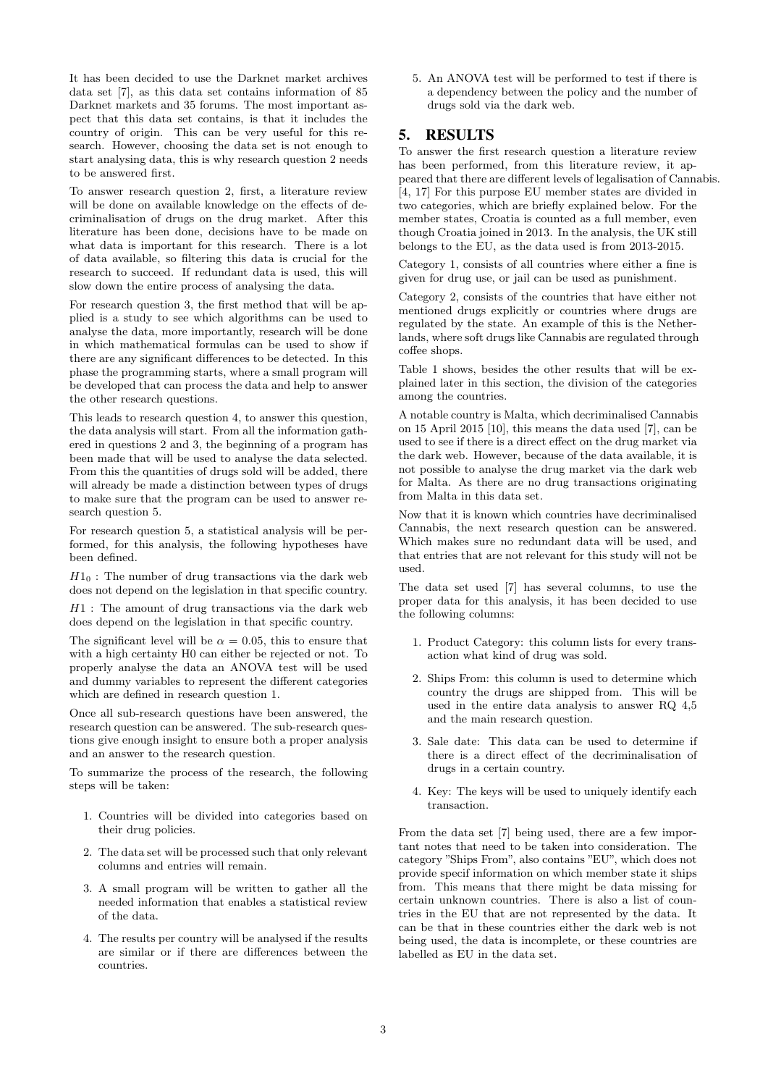It has been decided to use the Darknet market archives data set [7], as this data set contains information of 85 Darknet markets and 35 forums. The most important aspect that this data set contains, is that it includes the country of origin. This can be very useful for this research. However, choosing the data set is not enough to start analysing data, this is why research question 2 needs to be answered first.

To answer research question 2, first, a literature review will be done on available knowledge on the effects of decriminalisation of drugs on the drug market. After this literature has been done, decisions have to be made on what data is important for this research. There is a lot of data available, so filtering this data is crucial for the research to succeed. If redundant data is used, this will slow down the entire process of analysing the data.

For research question 3, the first method that will be applied is a study to see which algorithms can be used to analyse the data, more importantly, research will be done in which mathematical formulas can be used to show if there are any significant differences to be detected. In this phase the programming starts, where a small program will be developed that can process the data and help to answer the other research questions.

This leads to research question 4, to answer this question, the data analysis will start. From all the information gathered in questions 2 and 3, the beginning of a program has been made that will be used to analyse the data selected. From this the quantities of drugs sold will be added, there will already be made a distinction between types of drugs to make sure that the program can be used to answer research question 5.

For research question 5, a statistical analysis will be performed, for this analysis, the following hypotheses have been defined.

 $H1_0$ : The number of drug transactions via the dark web does not depend on the legislation in that specific country.

H1 : The amount of drug transactions via the dark web does depend on the legislation in that specific country.

The significant level will be  $\alpha = 0.05$ , this to ensure that with a high certainty H0 can either be rejected or not. To properly analyse the data an ANOVA test will be used and dummy variables to represent the different categories which are defined in research question 1.

Once all sub-research questions have been answered, the research question can be answered. The sub-research questions give enough insight to ensure both a proper analysis and an answer to the research question.

To summarize the process of the research, the following steps will be taken:

- 1. Countries will be divided into categories based on their drug policies.
- 2. The data set will be processed such that only relevant columns and entries will remain.
- 3. A small program will be written to gather all the needed information that enables a statistical review of the data.
- 4. The results per country will be analysed if the results are similar or if there are differences between the countries.

5. An ANOVA test will be performed to test if there is a dependency between the policy and the number of drugs sold via the dark web.

# 5. RESULTS

To answer the first research question a literature review has been performed, from this literature review, it appeared that there are different levels of legalisation of Cannabis. [4, 17] For this purpose EU member states are divided in two categories, which are briefly explained below. For the member states, Croatia is counted as a full member, even though Croatia joined in 2013. In the analysis, the UK still belongs to the EU, as the data used is from 2013-2015.

Category 1, consists of all countries where either a fine is given for drug use, or jail can be used as punishment.

Category 2, consists of the countries that have either not mentioned drugs explicitly or countries where drugs are regulated by the state. An example of this is the Netherlands, where soft drugs like Cannabis are regulated through coffee shops.

Table 1 shows, besides the other results that will be explained later in this section, the division of the categories among the countries.

A notable country is Malta, which decriminalised Cannabis on 15 April 2015 [10], this means the data used [7], can be used to see if there is a direct effect on the drug market via the dark web. However, because of the data available, it is not possible to analyse the drug market via the dark web for Malta. As there are no drug transactions originating from Malta in this data set.

Now that it is known which countries have decriminalised Cannabis, the next research question can be answered. Which makes sure no redundant data will be used, and that entries that are not relevant for this study will not be used.

The data set used [7] has several columns, to use the proper data for this analysis, it has been decided to use the following columns:

- 1. Product Category: this column lists for every transaction what kind of drug was sold.
- 2. Ships From: this column is used to determine which country the drugs are shipped from. This will be used in the entire data analysis to answer RQ 4,5 and the main research question.
- 3. Sale date: This data can be used to determine if there is a direct effect of the decriminalisation of drugs in a certain country.
- 4. Key: The keys will be used to uniquely identify each transaction.

From the data set [7] being used, there are a few important notes that need to be taken into consideration. The category "Ships From", also contains "EU", which does not provide specif information on which member state it ships from. This means that there might be data missing for certain unknown countries. There is also a list of countries in the EU that are not represented by the data. It can be that in these countries either the dark web is not being used, the data is incomplete, or these countries are labelled as EU in the data set.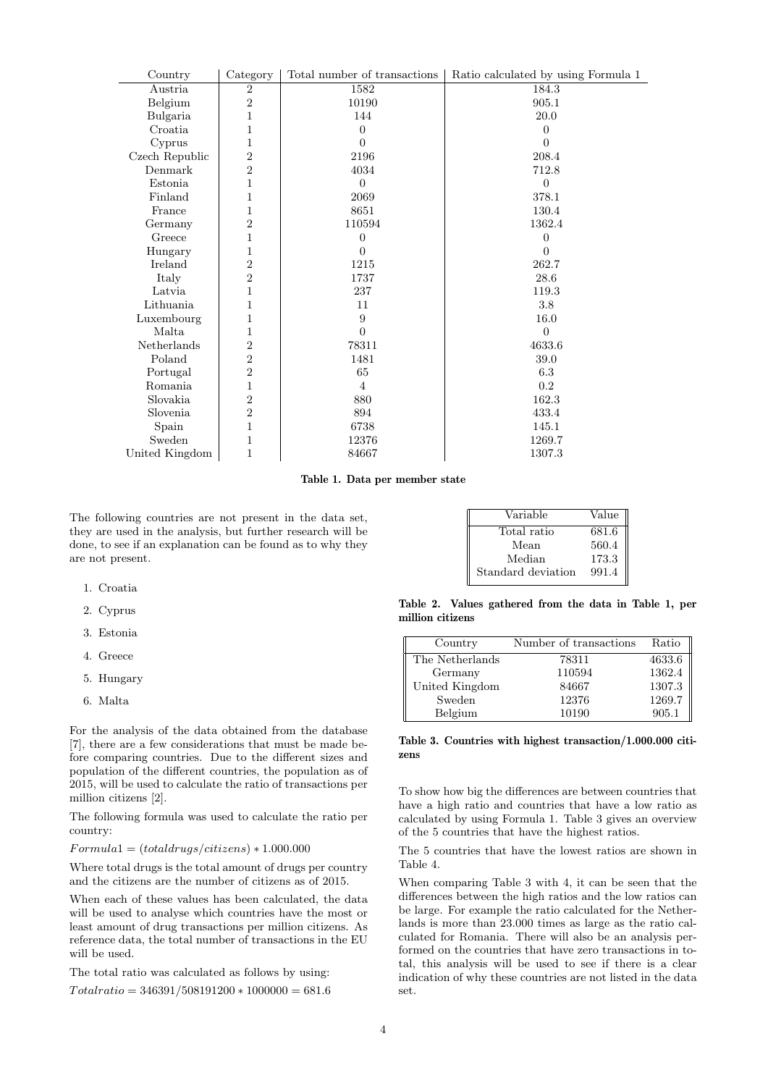| Country        | Category         | Total number of transactions | Ratio calculated by using Formula 1 |
|----------------|------------------|------------------------------|-------------------------------------|
| Austria        | $\overline{2}$   | 1582                         | 184.3                               |
| Belgium        | $\boldsymbol{2}$ | 10190                        | 905.1                               |
| Bulgaria       | 1                | 144                          | 20.0                                |
| Croatia        | 1                | $\Omega$                     | $\Omega$                            |
| Cyprus         | 1                | $\theta$                     | 0                                   |
| Czech Republic | $\overline{2}$   | 2196                         | 208.4                               |
| Denmark        | $\overline{2}$   | 4034                         | 712.8                               |
| Estonia        | 1                | $\overline{0}$               | $\overline{0}$                      |
| Finland        | 1                | 2069                         | 378.1                               |
| France         | 1                | 8651                         | 130.4                               |
| Germany        | $\overline{2}$   | 110594                       | 1362.4                              |
| Greece         | 1                | $\overline{0}$               | $\theta$                            |
| Hungary        | 1                | 0                            | 0                                   |
| Ireland        | $\boldsymbol{2}$ | 1215                         | 262.7                               |
| Italy          | $\overline{2}$   | 1737                         | 28.6                                |
| Latvia         | 1                | 237                          | 119.3                               |
| Lithuania      | 1                | 11                           | 3.8                                 |
| Luxembourg     | 1                | 9                            | 16.0                                |
| Malta          | 1                | $\theta$                     | $\overline{0}$                      |
| Netherlands    | $\overline{2}$   | 78311                        | 4633.6                              |
| Poland         | $\overline{2}$   | 1481                         | 39.0                                |
| Portugal       | $\overline{2}$   | 65                           | 6.3                                 |
| Romania        | 1                | 4                            | 0.2                                 |
| Slovakia       | $\overline{2}$   | 880                          | 162.3                               |
| Slovenia       | $\boldsymbol{2}$ | 894                          | 433.4                               |
| Spain          | 1                | 6738                         | 145.1                               |
| Sweden         | $\overline{1}$   | 12376                        | 1269.7                              |
| United Kingdom | 1                | 84667                        | 1307.3                              |
|                |                  |                              |                                     |

Table 1. Data per member state

The following countries are not present in the data set, they are used in the analysis, but further research will be done, to see if an explanation can be found as to why they are not present.

| Variable           | Value |
|--------------------|-------|
| Total ratio        | 681.6 |
| Mean               | 560.4 |
| Median             | 173.3 |
| Standard deviation | 991.4 |

Table 2. Values gathered from the data in Table 1, per million citizens

| Country         | Number of transactions | Ratio  |
|-----------------|------------------------|--------|
| The Netherlands | 78311                  | 4633.6 |
| Germany         | 110594                 | 1362.4 |
| United Kingdom  | 84667                  | 1307.3 |
| Sweden          | 12376                  | 1269.7 |
| Belgium         | 10190                  | 905.1  |

#### Table 3. Countries with highest transaction/1.000.000 citizens

To show how big the differences are between countries that have a high ratio and countries that have a low ratio as calculated by using Formula 1. Table 3 gives an overview of the 5 countries that have the highest ratios.

The 5 countries that have the lowest ratios are shown in Table 4.

When comparing Table 3 with 4, it can be seen that the differences between the high ratios and the low ratios can be large. For example the ratio calculated for the Netherlands is more than 23.000 times as large as the ratio calculated for Romania. There will also be an analysis performed on the countries that have zero transactions in total, this analysis will be used to see if there is a clear indication of why these countries are not listed in the data set.

### 1. Croatia

- 2. Cyprus
- 3. Estonia
- 4. Greece
- 5. Hungary
- 6. Malta

For the analysis of the data obtained from the database [7], there are a few considerations that must be made before comparing countries. Due to the different sizes and population of the different countries, the population as of 2015, will be used to calculate the ratio of transactions per million citizens [2].

The following formula was used to calculate the ratio per country:

#### $Formula1 = (total drugs/citizens) * 1.000.000$

Where total drugs is the total amount of drugs per country and the citizens are the number of citizens as of 2015.

When each of these values has been calculated, the data will be used to analyse which countries have the most or least amount of drug transactions per million citizens. As reference data, the total number of transactions in the EU will be used.

The total ratio was calculated as follows by using:

 $Total ratio = 346391/508191200 * 1000000 = 681.6$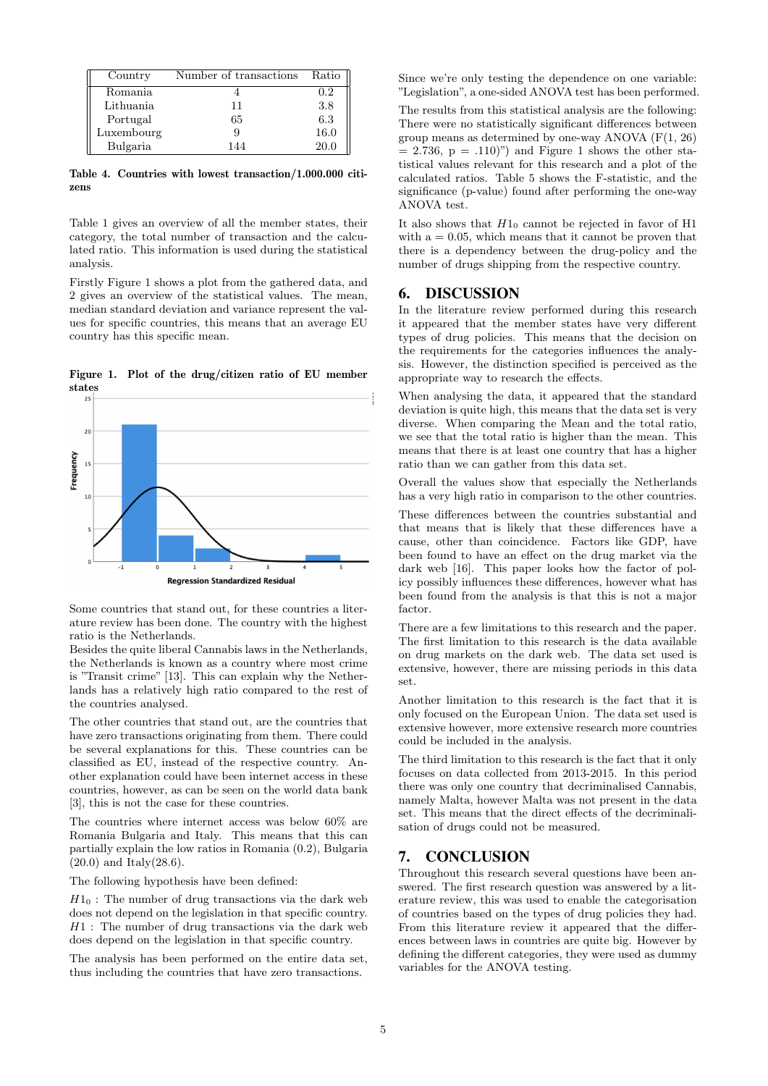| Country    | Number of transactions | Ratio |
|------------|------------------------|-------|
| Romania    |                        | 0.2   |
| Lithuania  | 11                     | 3.8   |
| Portugal   | 65                     | 6.3   |
| Luxembourg | g                      | 16.0  |
| Bulgaria   | 144                    | 20.0  |

Table 4. Countries with lowest transaction/1.000.000 citizens

Table 1 gives an overview of all the member states, their category, the total number of transaction and the calculated ratio. This information is used during the statistical analysis.

Firstly Figure 1 shows a plot from the gathered data, and 2 gives an overview of the statistical values. The mean, median standard deviation and variance represent the values for specific countries, this means that an average EU country has this specific mean.

Figure 1. Plot of the drug/citizen ratio of EU member



Some countries that stand out, for these countries a literature review has been done. The country with the highest ratio is the Netherlands.

Besides the quite liberal Cannabis laws in the Netherlands, the Netherlands is known as a country where most crime is "Transit crime" [13]. This can explain why the Netherlands has a relatively high ratio compared to the rest of the countries analysed.

The other countries that stand out, are the countries that have zero transactions originating from them. There could be several explanations for this. These countries can be classified as EU, instead of the respective country. Another explanation could have been internet access in these countries, however, as can be seen on the world data bank [3], this is not the case for these countries.

The countries where internet access was below 60% are Romania Bulgaria and Italy. This means that this can partially explain the low ratios in Romania (0.2), Bulgaria  $(20.0)$  and Italy $(28.6)$ .

The following hypothesis have been defined:

 $H1_0$ : The number of drug transactions via the dark web does not depend on the legislation in that specific country.  $H1$ : The number of drug transactions via the dark web does depend on the legislation in that specific country.

The analysis has been performed on the entire data set, thus including the countries that have zero transactions.

Since we're only testing the dependence on one variable: "Legislation", a one-sided ANOVA test has been performed.

The results from this statistical analysis are the following: There were no statistically significant differences between group means as determined by one-way ANOVA (F(1, 26)  $= 2.736$ ,  $p = .110$ )") and Figure 1 shows the other statistical values relevant for this research and a plot of the calculated ratios. Table 5 shows the F-statistic, and the significance (p-value) found after performing the one-way ANOVA test.

It also shows that  $H1_0$  cannot be rejected in favor of H1 with  $a = 0.05$ , which means that it cannot be proven that there is a dependency between the drug-policy and the number of drugs shipping from the respective country.

### 6. DISCUSSION

In the literature review performed during this research it appeared that the member states have very different types of drug policies. This means that the decision on the requirements for the categories influences the analysis. However, the distinction specified is perceived as the appropriate way to research the effects.

When analysing the data, it appeared that the standard deviation is quite high, this means that the data set is very diverse. When comparing the Mean and the total ratio, we see that the total ratio is higher than the mean. This means that there is at least one country that has a higher ratio than we can gather from this data set.

Overall the values show that especially the Netherlands has a very high ratio in comparison to the other countries.

These differences between the countries substantial and that means that is likely that these differences have a cause, other than coincidence. Factors like GDP, have been found to have an effect on the drug market via the dark web [16]. This paper looks how the factor of policy possibly influences these differences, however what has been found from the analysis is that this is not a major factor.

There are a few limitations to this research and the paper. The first limitation to this research is the data available on drug markets on the dark web. The data set used is extensive, however, there are missing periods in this data set.

Another limitation to this research is the fact that it is only focused on the European Union. The data set used is extensive however, more extensive research more countries could be included in the analysis.

The third limitation to this research is the fact that it only focuses on data collected from 2013-2015. In this period there was only one country that decriminalised Cannabis, namely Malta, however Malta was not present in the data set. This means that the direct effects of the decriminalisation of drugs could not be measured.

# 7. CONCLUSION

Throughout this research several questions have been answered. The first research question was answered by a literature review, this was used to enable the categorisation of countries based on the types of drug policies they had. From this literature review it appeared that the differences between laws in countries are quite big. However by defining the different categories, they were used as dummy variables for the ANOVA testing.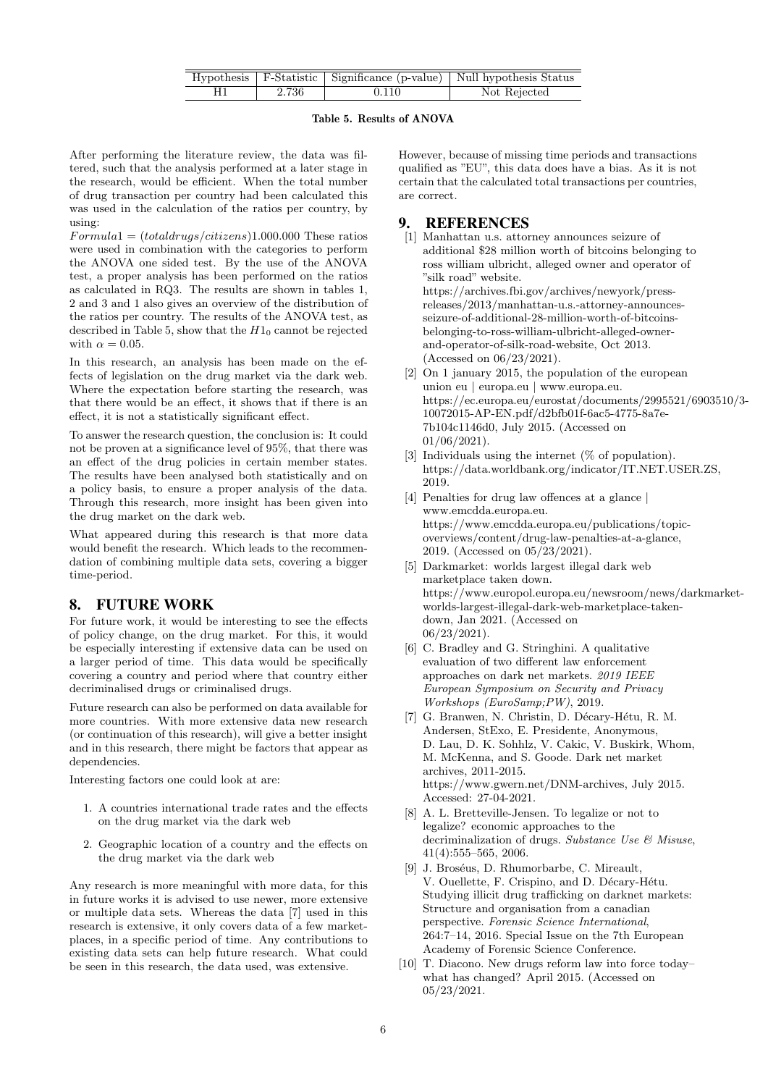|       |       | Hypothesis   F-Statistic   Significance (p-value)   Null hypothesis Status |
|-------|-------|----------------------------------------------------------------------------|
| 2.736 | 0.110 | Not Rejected                                                               |

### Table 5. Results of ANOVA

After performing the literature review, the data was filtered, such that the analysis performed at a later stage in the research, would be efficient. When the total number of drug transaction per country had been calculated this was used in the calculation of the ratios per country, by using:

 $Formula1 = (total drugs/citizens)1.000.000$  These ratios were used in combination with the categories to perform the ANOVA one sided test. By the use of the ANOVA test, a proper analysis has been performed on the ratios as calculated in RQ3. The results are shown in tables 1, 2 and 3 and 1 also gives an overview of the distribution of the ratios per country. The results of the ANOVA test, as described in Table 5, show that the  $H1_0$  cannot be rejected with  $\alpha = 0.05$ .

In this research, an analysis has been made on the effects of legislation on the drug market via the dark web. Where the expectation before starting the research, was that there would be an effect, it shows that if there is an effect, it is not a statistically significant effect.

To answer the research question, the conclusion is: It could not be proven at a significance level of 95%, that there was an effect of the drug policies in certain member states. The results have been analysed both statistically and on a policy basis, to ensure a proper analysis of the data. Through this research, more insight has been given into the drug market on the dark web.

What appeared during this research is that more data would benefit the research. Which leads to the recommendation of combining multiple data sets, covering a bigger time-period.

# 8. FUTURE WORK

For future work, it would be interesting to see the effects of policy change, on the drug market. For this, it would be especially interesting if extensive data can be used on a larger period of time. This data would be specifically covering a country and period where that country either decriminalised drugs or criminalised drugs.

Future research can also be performed on data available for more countries. With more extensive data new research (or continuation of this research), will give a better insight and in this research, there might be factors that appear as dependencies.

Interesting factors one could look at are:

- 1. A countries international trade rates and the effects on the drug market via the dark web
- 2. Geographic location of a country and the effects on the drug market via the dark web

Any research is more meaningful with more data, for this in future works it is advised to use newer, more extensive or multiple data sets. Whereas the data [7] used in this research is extensive, it only covers data of a few marketplaces, in a specific period of time. Any contributions to existing data sets can help future research. What could be seen in this research, the data used, was extensive.

However, because of missing time periods and transactions qualified as "EU", this data does have a bias. As it is not certain that the calculated total transactions per countries, are correct.

### **REFERENCES**

- [1] Manhattan u.s. attorney announces seizure of additional \$28 million worth of bitcoins belonging to ross william ulbricht, alleged owner and operator of "silk road" website. https://archives.fbi.gov/archives/newyork/pressreleases/2013/manhattan-u.s.-attorney-announcesseizure-of-additional-28-million-worth-of-bitcoinsbelonging-to-ross-william-ulbricht-alleged-ownerand-operator-of-silk-road-website, Oct 2013. (Accessed on 06/23/2021).
- [2] On 1 january 2015, the population of the european union eu | europa.eu | www.europa.eu. https://ec.europa.eu/eurostat/documents/2995521/6903510/3- 10072015-AP-EN.pdf/d2bfb01f-6ac5-4775-8a7e-7b104c1146d0, July 2015. (Accessed on 01/06/2021).
- [3] Individuals using the internet (% of population). https://data.worldbank.org/indicator/IT.NET.USER.ZS, 2019.
- [4] Penalties for drug law offences at a glance | www.emcdda.europa.eu. https://www.emcdda.europa.eu/publications/topicoverviews/content/drug-law-penalties-at-a-glance, 2019. (Accessed on 05/23/2021).
- [5] Darkmarket: worlds largest illegal dark web marketplace taken down. https://www.europol.europa.eu/newsroom/news/darkmarketworlds-largest-illegal-dark-web-marketplace-takendown, Jan 2021. (Accessed on 06/23/2021).
- [6] C. Bradley and G. Stringhini. A qualitative evaluation of two different law enforcement approaches on dark net markets. 2019 IEEE European Symposium on Security and Privacy Workshops (EuroSamp;PW), 2019.
- [7] G. Branwen, N. Christin, D. Décary-Hétu, R. M. Andersen, StExo, E. Presidente, Anonymous, D. Lau, D. K. Sohhlz, V. Cakic, V. Buskirk, Whom, M. McKenna, and S. Goode. Dark net market archives, 2011-2015. https://www.gwern.net/DNM-archives, July 2015. Accessed: 27-04-2021.
- [8] A. L. Bretteville-Jensen. To legalize or not to legalize? economic approaches to the decriminalization of drugs. Substance Use & Misuse, 41(4):555–565, 2006.
- [9] J. Broséus, D. Rhumorbarbe, C. Mireault, V. Ouellette, F. Crispino, and D. Décary-Hétu. Studying illicit drug trafficking on darknet markets: Structure and organisation from a canadian perspective. Forensic Science International, 264:7–14, 2016. Special Issue on the 7th European Academy of Forensic Science Conference.
- [10] T. Diacono. New drugs reform law into force today– what has changed? April 2015. (Accessed on 05/23/2021.